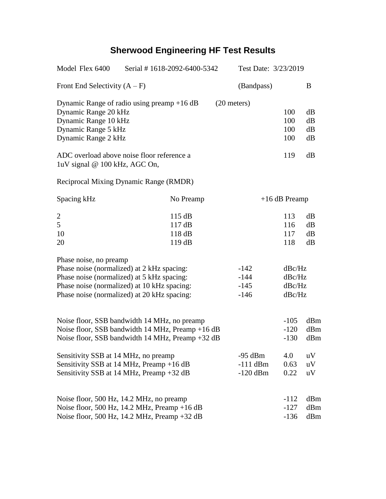## **Sherwood Engineering HF Test Results**

| Model Flex 6400                                       | Serial #1618-2092-6400-5342                      | Test Date: 3/23/2019 |        |                 |  |
|-------------------------------------------------------|--------------------------------------------------|----------------------|--------|-----------------|--|
| Front End Selectivity $(A - F)$                       |                                                  | (Bandpass)           |        | B               |  |
|                                                       | Dynamic Range of radio using preamp $+16$ dB     | $(20$ meters)        |        |                 |  |
| Dynamic Range 20 kHz                                  |                                                  |                      | 100    | dB              |  |
| Dynamic Range 10 kHz                                  | 100                                              | dB                   |        |                 |  |
| Dynamic Range 5 kHz                                   | 100                                              | dB                   |        |                 |  |
| Dynamic Range 2 kHz                                   | 100                                              | dB                   |        |                 |  |
| luV signal @ 100 kHz, AGC On,                         | ADC overload above noise floor reference a       |                      | 119    | dB              |  |
|                                                       | Reciprocal Mixing Dynamic Range (RMDR)           |                      |        |                 |  |
| Spacing kHz                                           | No Preamp                                        |                      |        | $+16$ dB Preamp |  |
| $\overline{c}$                                        | 115 dB                                           |                      | 113    | dB              |  |
| 5                                                     | 117dB                                            |                      | 116    | dB              |  |
| 10                                                    | 118 dB                                           |                      | 117    | dB              |  |
| 20                                                    | 119dB                                            |                      | 118    | dB              |  |
| Phase noise, no preamp                                |                                                  |                      |        |                 |  |
|                                                       | Phase noise (normalized) at 2 kHz spacing:       | $-142$               | dBc/Hz |                 |  |
| Phase noise (normalized) at 5 kHz spacing:<br>$-144$  |                                                  |                      | dBc/Hz |                 |  |
|                                                       | Phase noise (normalized) at 10 kHz spacing:      | $-145$               | dBc/Hz |                 |  |
| Phase noise (normalized) at 20 kHz spacing:<br>$-146$ |                                                  |                      | dBc/Hz |                 |  |
|                                                       |                                                  |                      | $-105$ |                 |  |
| Noise floor, SSB bandwidth 14 MHz, no preamp          |                                                  |                      |        | dBm             |  |
| Noise floor, SSB bandwidth 14 MHz, Preamp +16 dB      |                                                  |                      | $-120$ | dBm             |  |
|                                                       | Noise floor, SSB bandwidth 14 MHz, Preamp +32 dB |                      | $-130$ | dBm             |  |
| Sensitivity SSB at 14 MHz, no preamp                  |                                                  | $-95$ dBm            | 4.0    | uV              |  |
|                                                       | Sensitivity SSB at 14 MHz, Preamp +16 dB         | $-111$ dBm           | 0.63   | uV              |  |
|                                                       | Sensitivity SSB at 14 MHz, Preamp +32 dB         | $-120$ dBm           | 0.22   | uV              |  |
|                                                       |                                                  |                      |        |                 |  |
|                                                       | Noise floor, 500 Hz, 14.2 MHz, no preamp         |                      | $-112$ | dBm             |  |
|                                                       | Noise floor, 500 Hz, 14.2 MHz, Preamp +16 dB     |                      | $-127$ | dBm             |  |
| Noise floor, 500 Hz, 14.2 MHz, Preamp +32 dB          |                                                  |                      | $-136$ | dBm             |  |